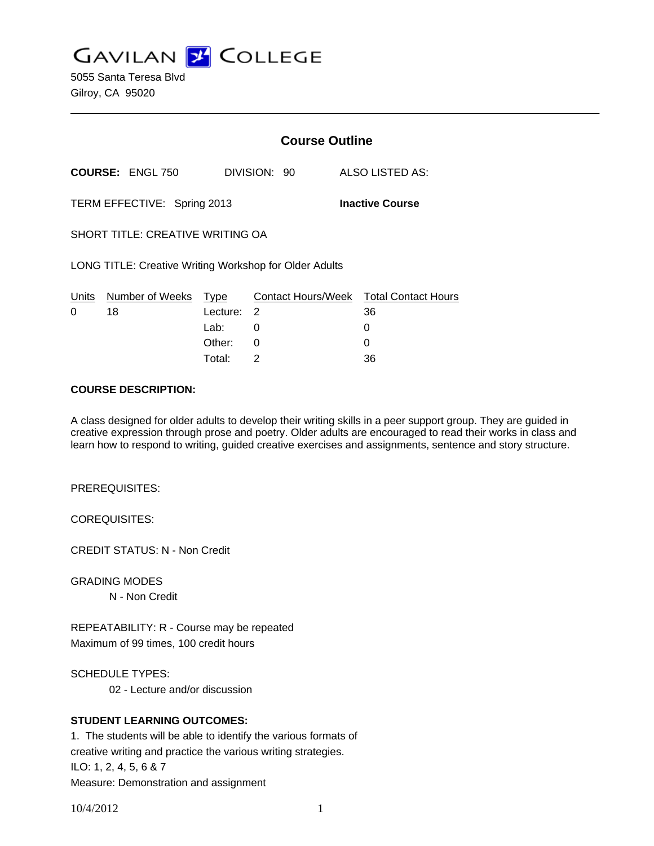**GAVILAN Z COLLEGE** 

5055 Santa Teresa Blvd Gilroy, CA 95020

|                                                        |                         | <b>Course Outline</b> |                                |  |                                  |
|--------------------------------------------------------|-------------------------|-----------------------|--------------------------------|--|----------------------------------|
|                                                        | <b>COURSE: ENGL 750</b> |                       | DIVISION: 90                   |  | ALSO LISTED AS:                  |
| <b>Inactive Course</b><br>TERM EFFECTIVE: Spring 2013  |                         |                       |                                |  |                                  |
| SHORT TITLE: CREATIVE WRITING OA                       |                         |                       |                                |  |                                  |
| LONG TITLE: Creative Writing Workshop for Older Adults |                         |                       |                                |  |                                  |
| Units<br>0                                             | Number of Weeks<br>18   | Type<br>Lecture:      | <b>Contact Hours/Week</b><br>2 |  | <b>Total Contact Hours</b><br>36 |
|                                                        |                         | Lab:                  | 0                              |  | 0                                |
|                                                        |                         | Other:                | 0                              |  | 0                                |
|                                                        |                         | Total:                | 2                              |  | 36                               |

### **COURSE DESCRIPTION:**

A class designed for older adults to develop their writing skills in a peer support group. They are guided in creative expression through prose and poetry. Older adults are encouraged to read their works in class and learn how to respond to writing, guided creative exercises and assignments, sentence and story structure.

PREREQUISITES:

COREQUISITES:

CREDIT STATUS: N - Non Credit

GRADING MODES

N - Non Credit

REPEATABILITY: R - Course may be repeated Maximum of 99 times, 100 credit hours

SCHEDULE TYPES:

02 - Lecture and/or discussion

## **STUDENT LEARNING OUTCOMES:**

1. The students will be able to identify the various formats of creative writing and practice the various writing strategies. ILO: 1, 2, 4, 5, 6 & 7 Measure: Demonstration and assignment

10/4/2012 1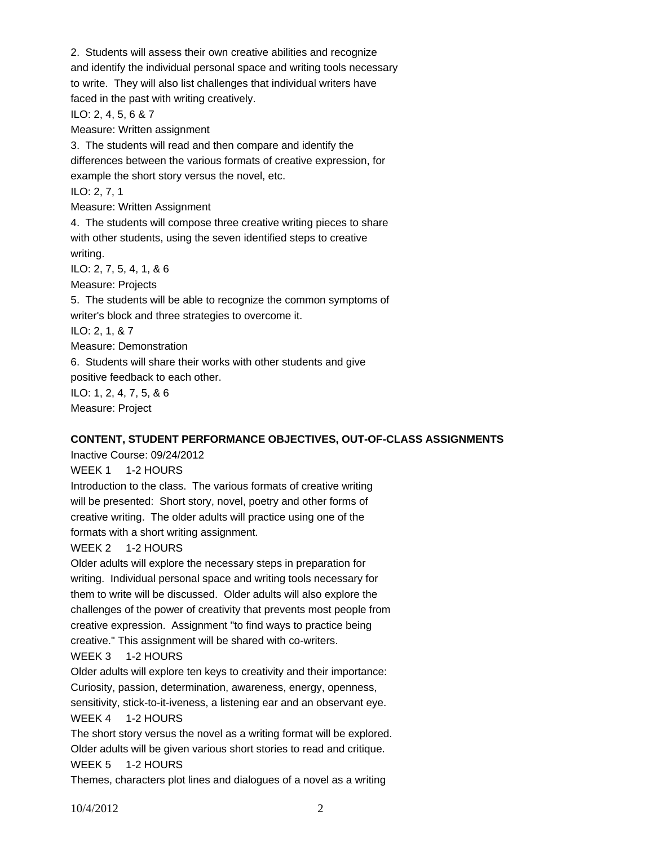2. Students will assess their own creative abilities and recognize and identify the individual personal space and writing tools necessary to write. They will also list challenges that individual writers have faced in the past with writing creatively. ILO: 2, 4, 5, 6 & 7 Measure: Written assignment 3. The students will read and then compare and identify the differences between the various formats of creative expression, for example the short story versus the novel, etc. ILO: 2, 7, 1 Measure: Written Assignment 4. The students will compose three creative writing pieces to share with other students, using the seven identified steps to creative writing. ILO: 2, 7, 5, 4, 1, & 6 Measure: Projects 5. The students will be able to recognize the common symptoms of writer's block and three strategies to overcome it. ILO: 2, 1, & 7 Measure: Demonstration 6. Students will share their works with other students and give positive feedback to each other. ILO: 1, 2, 4, 7, 5, & 6 Measure: Project

#### **CONTENT, STUDENT PERFORMANCE OBJECTIVES, OUT-OF-CLASS ASSIGNMENTS**

Inactive Course: 09/24/2012

WEEK 1 1-2 HOURS

Introduction to the class. The various formats of creative writing will be presented: Short story, novel, poetry and other forms of creative writing. The older adults will practice using one of the formats with a short writing assignment.

#### WEEK 2 1-2 HOURS

Older adults will explore the necessary steps in preparation for writing. Individual personal space and writing tools necessary for them to write will be discussed. Older adults will also explore the challenges of the power of creativity that prevents most people from creative expression. Assignment "to find ways to practice being creative." This assignment will be shared with co-writers.

WEEK 3 1-2 HOURS

Older adults will explore ten keys to creativity and their importance:

Curiosity, passion, determination, awareness, energy, openness,

sensitivity, stick-to-it-iveness, a listening ear and an observant eye. WEEK 4 1-2 HOURS

The short story versus the novel as a writing format will be explored. Older adults will be given various short stories to read and critique. WEEK 5 1-2 HOURS

Themes, characters plot lines and dialogues of a novel as a writing

10/4/2012 2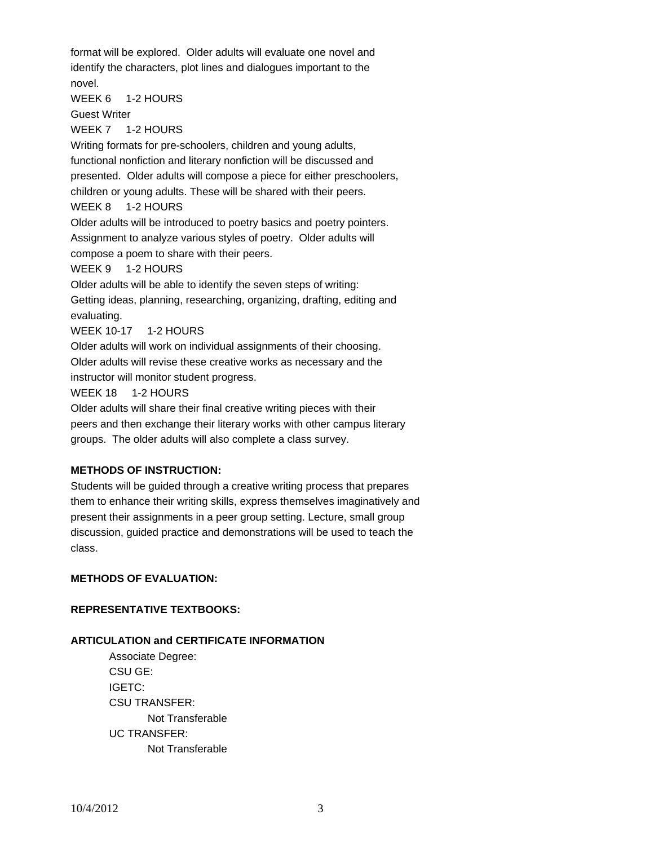format will be explored. Older adults will evaluate one novel and identify the characters, plot lines and dialogues important to the novel.

WEEK 6 1-2 HOURS

Guest Writer

WEEK 7 1-2 HOURS

Writing formats for pre-schoolers, children and young adults, functional nonfiction and literary nonfiction will be discussed and presented. Older adults will compose a piece for either preschoolers, children or young adults. These will be shared with their peers. WEEK 8 1-2 HOURS

Older adults will be introduced to poetry basics and poetry pointers. Assignment to analyze various styles of poetry. Older adults will compose a poem to share with their peers.

WEEK 9 1-2 HOURS

Older adults will be able to identify the seven steps of writing:

Getting ideas, planning, researching, organizing, drafting, editing and evaluating.

WEEK 10-17 1-2 HOURS

Older adults will work on individual assignments of their choosing. Older adults will revise these creative works as necessary and the instructor will monitor student progress.

WEEK 18 1-2 HOURS

Older adults will share their final creative writing pieces with their peers and then exchange their literary works with other campus literary groups. The older adults will also complete a class survey.

# **METHODS OF INSTRUCTION:**

Students will be guided through a creative writing process that prepares them to enhance their writing skills, express themselves imaginatively and present their assignments in a peer group setting. Lecture, small group discussion, guided practice and demonstrations will be used to teach the class.

# **METHODS OF EVALUATION:**

## **REPRESENTATIVE TEXTBOOKS:**

## **ARTICULATION and CERTIFICATE INFORMATION**

 Associate Degree: CSU GE: IGETC: CSU TRANSFER: Not Transferable UC TRANSFER: Not Transferable